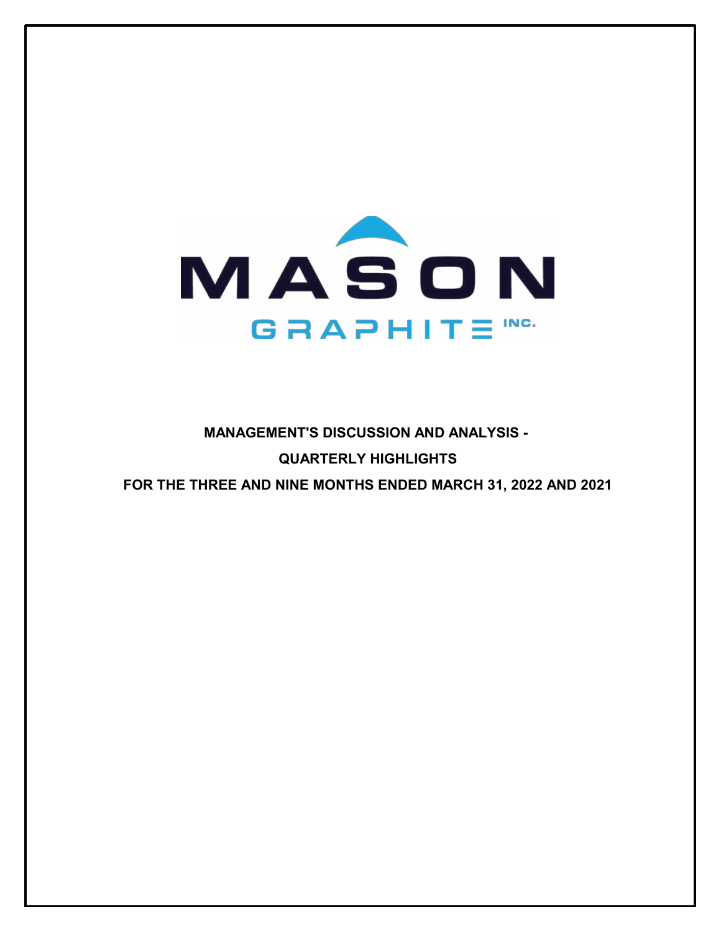

# **MANAGEMENT'S DISCUSSION AND ANALYSIS - QUARTERLY HIGHLIGHTS FOR THE THREE AND NINE MONTHS ENDED MARCH 31, 2022 AND 2021**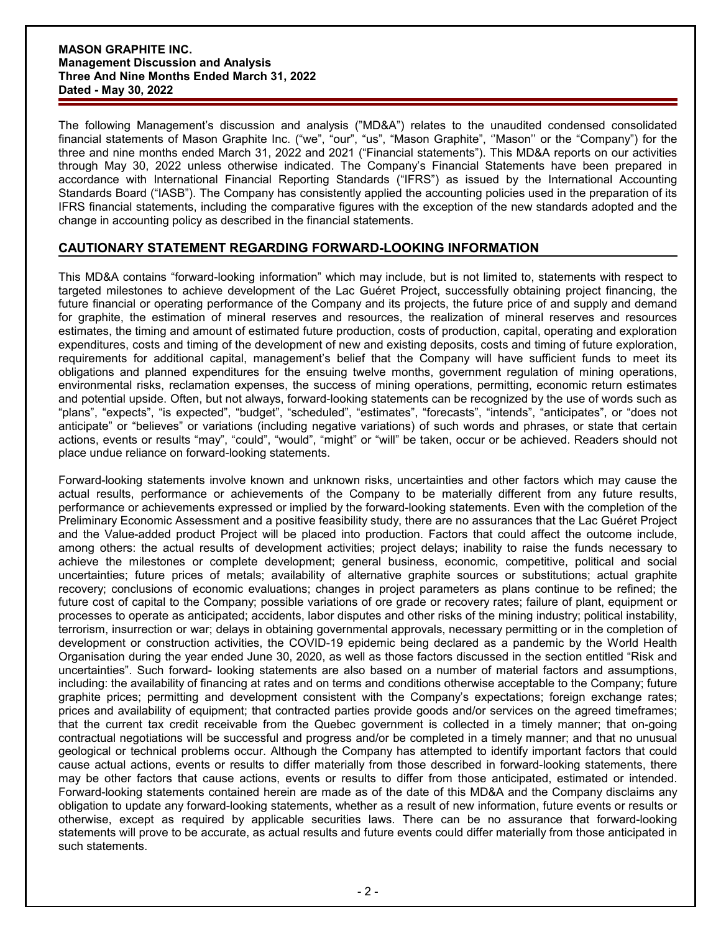The following Management's discussion and analysis ("MD&A") relates to the unaudited condensed consolidated financial statements of Mason Graphite Inc. ("we", "our", "us", "Mason Graphite", ''Mason'' or the "Company") for the three and nine months ended March 31, 2022 and 2021 ("Financial statements"). This MD&A reports on our activities through May 30, 2022 unless otherwise indicated. The Company's Financial Statements have been prepared in accordance with International Financial Reporting Standards ("IFRS") as issued by the International Accounting Standards Board ("IASB"). The Company has consistently applied the accounting policies used in the preparation of its IFRS financial statements, including the comparative figures with the exception of the new standards adopted and the change in accounting policy as described in the financial statements.

# **CAUTIONARY STATEMENT REGARDING FORWARD-LOOKING INFORMATION**

This MD&A contains "forward-looking information" which may include, but is not limited to, statements with respect to targeted milestones to achieve development of the Lac Guéret Project, successfully obtaining project financing, the future financial or operating performance of the Company and its projects, the future price of and supply and demand for graphite, the estimation of mineral reserves and resources, the realization of mineral reserves and resources estimates, the timing and amount of estimated future production, costs of production, capital, operating and exploration expenditures, costs and timing of the development of new and existing deposits, costs and timing of future exploration, requirements for additional capital, management's belief that the Company will have sufficient funds to meet its obligations and planned expenditures for the ensuing twelve months, government regulation of mining operations, environmental risks, reclamation expenses, the success of mining operations, permitting, economic return estimates and potential upside. Often, but not always, forward-looking statements can be recognized by the use of words such as "plans", "expects", "is expected", "budget", "scheduled", "estimates", "forecasts", "intends", "anticipates", or "does not anticipate" or "believes" or variations (including negative variations) of such words and phrases, or state that certain actions, events or results "may", "could", "would", "might" or "will" be taken, occur or be achieved. Readers should not place undue reliance on forward-looking statements.

Forward-looking statements involve known and unknown risks, uncertainties and other factors which may cause the actual results, performance or achievements of the Company to be materially different from any future results, performance or achievements expressed or implied by the forward-looking statements. Even with the completion of the Preliminary Economic Assessment and a positive feasibility study, there are no assurances that the Lac Guéret Project and the Value-added product Project will be placed into production. Factors that could affect the outcome include, among others: the actual results of development activities; project delays; inability to raise the funds necessary to achieve the milestones or complete development; general business, economic, competitive, political and social uncertainties; future prices of metals; availability of alternative graphite sources or substitutions; actual graphite recovery; conclusions of economic evaluations; changes in project parameters as plans continue to be refined; the future cost of capital to the Company; possible variations of ore grade or recovery rates; failure of plant, equipment or processes to operate as anticipated; accidents, labor disputes and other risks of the mining industry; political instability, terrorism, insurrection or war; delays in obtaining governmental approvals, necessary permitting or in the completion of development or construction activities, the COVID-19 epidemic being declared as a pandemic by the World Health Organisation during the year ended June 30, 2020, as well as those factors discussed in the section entitled "Risk and uncertainties". Such forward- looking statements are also based on a number of material factors and assumptions, including: the availability of financing at rates and on terms and conditions otherwise acceptable to the Company; future graphite prices; permitting and development consistent with the Company's expectations; foreign exchange rates; prices and availability of equipment; that contracted parties provide goods and/or services on the agreed timeframes; that the current tax credit receivable from the Quebec government is collected in a timely manner; that on-going contractual negotiations will be successful and progress and/or be completed in a timely manner; and that no unusual geological or technical problems occur. Although the Company has attempted to identify important factors that could cause actual actions, events or results to differ materially from those described in forward-looking statements, there may be other factors that cause actions, events or results to differ from those anticipated, estimated or intended. Forward-looking statements contained herein are made as of the date of this MD&A and the Company disclaims any obligation to update any forward-looking statements, whether as a result of new information, future events or results or otherwise, except as required by applicable securities laws. There can be no assurance that forward-looking statements will prove to be accurate, as actual results and future events could differ materially from those anticipated in such statements.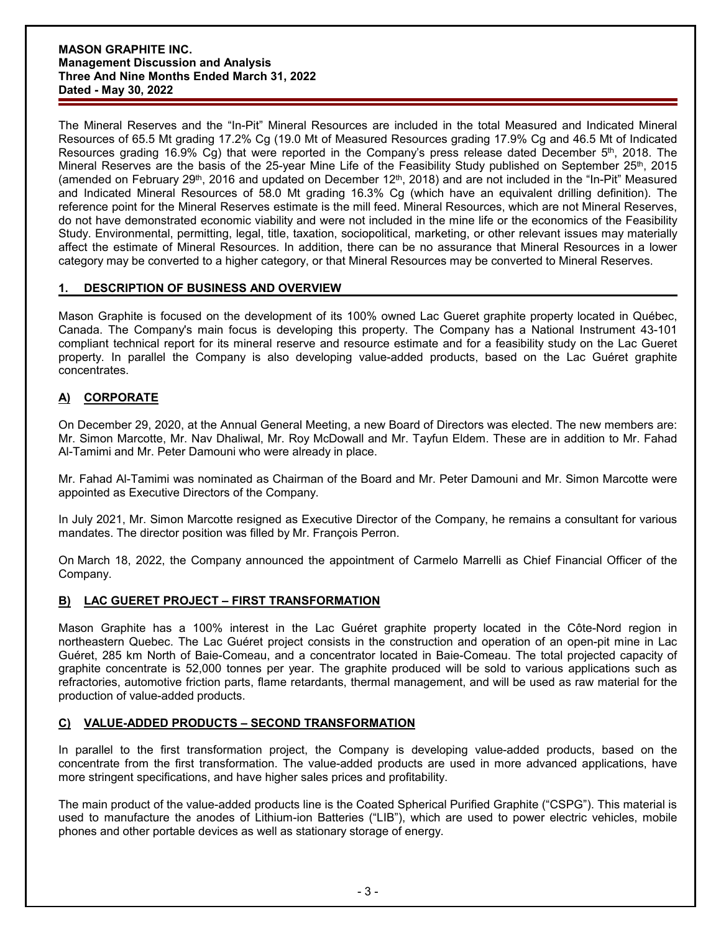The Mineral Reserves and the "In-Pit" Mineral Resources are included in the total Measured and Indicated Mineral Resources of 65.5 Mt grading 17.2% Cg (19.0 Mt of Measured Resources grading 17.9% Cg and 46.5 Mt of Indicated Resources grading 16.9% Cg) that were reported in the Company's press release dated December 5<sup>th</sup>, 2018. The Mineral Reserves are the basis of the 25-year Mine Life of the Feasibility Study published on September 25<sup>th</sup>, 2015 (amended on February 29<sup>th</sup>, 2016 and updated on December 12<sup>th</sup>, 2018) and are not included in the "In-Pit" Measured and Indicated Mineral Resources of 58.0 Mt grading 16.3% Cg (which have an equivalent drilling definition). The reference point for the Mineral Reserves estimate is the mill feed. Mineral Resources, which are not Mineral Reserves, do not have demonstrated economic viability and were not included in the mine life or the economics of the Feasibility Study. Environmental, permitting, legal, title, taxation, sociopolitical, marketing, or other relevant issues may materially affect the estimate of Mineral Resources. In addition, there can be no assurance that Mineral Resources in a lower category may be converted to a higher category, or that Mineral Resources may be converted to Mineral Reserves.

# **1. DESCRIPTION OF BUSINESS AND OVERVIEW**

Mason Graphite is focused on the development of its 100% owned Lac Gueret graphite property located in Québec, Canada. The Company's main focus is developing this property. The Company has a National Instrument 43-101 compliant technical report for its mineral reserve and resource estimate and for a feasibility study on the Lac Gueret property. In parallel the Company is also developing value-added products, based on the Lac Guéret graphite concentrates.

# **A) CORPORATE**

On December 29, 2020, at the Annual General Meeting, a new Board of Directors was elected. The new members are: Mr. Simon Marcotte, Mr. Nav Dhaliwal, Mr. Roy McDowall and Mr. Tayfun Eldem. These are in addition to Mr. Fahad Al-Tamimi and Mr. Peter Damouni who were already in place.

Mr. Fahad Al-Tamimi was nominated as Chairman of the Board and Mr. Peter Damouni and Mr. Simon Marcotte were appointed as Executive Directors of the Company.

In July 2021, Mr. Simon Marcotte resigned as Executive Director of the Company, he remains a consultant for various mandates. The director position was filled by Mr. François Perron.

On March 18, 2022, the Company announced the appointment of Carmelo Marrelli as Chief Financial Officer of the Company.

# **B) LAC GUERET PROJECT – FIRST TRANSFORMATION**

Mason Graphite has a 100% interest in the Lac Guéret graphite property located in the Côte-Nord region in northeastern Quebec. The Lac Guéret project consists in the construction and operation of an open-pit mine in Lac Guéret, 285 km North of Baie-Comeau, and a concentrator located in Baie-Comeau. The total projected capacity of graphite concentrate is 52,000 tonnes per year. The graphite produced will be sold to various applications such as refractories, automotive friction parts, flame retardants, thermal management, and will be used as raw material for the production of value-added products.

# **C) VALUE-ADDED PRODUCTS – SECOND TRANSFORMATION**

In parallel to the first transformation project, the Company is developing value-added products, based on the concentrate from the first transformation. The value-added products are used in more advanced applications, have more stringent specifications, and have higher sales prices and profitability.

The main product of the value-added products line is the Coated Spherical Purified Graphite ("CSPG"). This material is used to manufacture the anodes of Lithium-ion Batteries ("LIB"), which are used to power electric vehicles, mobile phones and other portable devices as well as stationary storage of energy.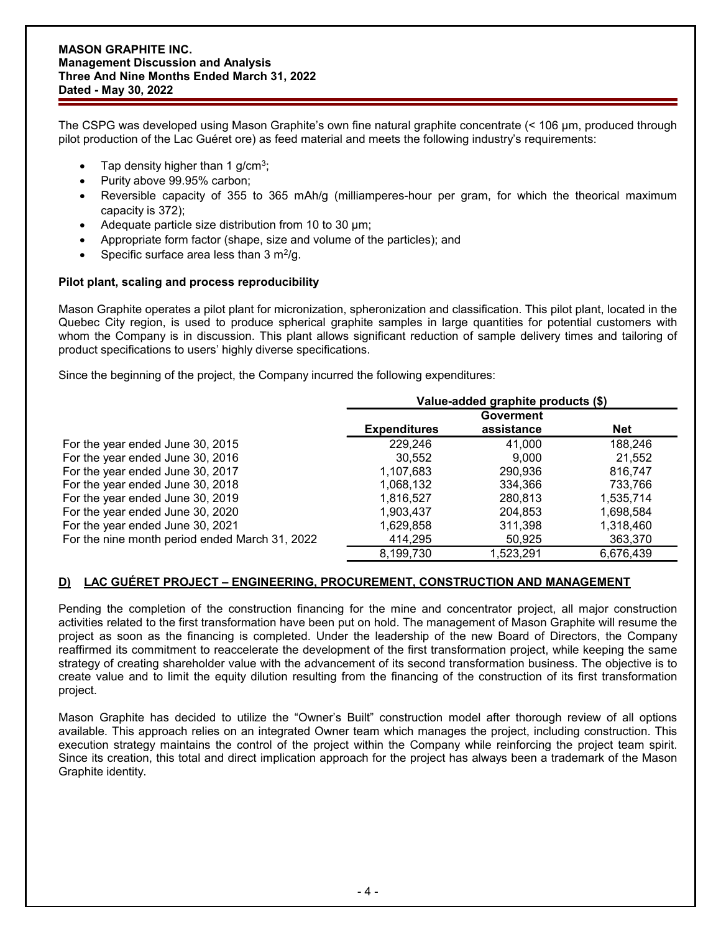The CSPG was developed using Mason Graphite's own fine natural graphite concentrate (< 106 µm, produced through pilot production of the Lac Guéret ore) as feed material and meets the following industry's requirements:

- Tap density higher than 1 g/cm<sup>3</sup>;
- Purity above 99.95% carbon;
- Reversible capacity of 355 to 365 mAh/g (milliamperes-hour per gram, for which the theorical maximum capacity is 372);
- Adequate particle size distribution from 10 to 30 µm;
- Appropriate form factor (shape, size and volume of the particles); and
- Specific surface area less than  $3 \text{ m}^2/\text{g}$ .

### **Pilot plant, scaling and process reproducibility**

Mason Graphite operates a pilot plant for micronization, spheronization and classification. This pilot plant, located in the Quebec City region, is used to produce spherical graphite samples in large quantities for potential customers with whom the Company is in discussion. This plant allows significant reduction of sample delivery times and tailoring of product specifications to users' highly diverse specifications.

Since the beginning of the project, the Company incurred the following expenditures:

|                                                | Value-added graphite products (\$) |            |            |  |
|------------------------------------------------|------------------------------------|------------|------------|--|
|                                                | <b>Goverment</b>                   |            |            |  |
|                                                | <b>Expenditures</b>                | assistance | <b>Net</b> |  |
| For the year ended June 30, 2015               | 229,246                            | 41.000     | 188,246    |  |
| For the year ended June 30, 2016               | 30,552                             | 9.000      | 21,552     |  |
| For the year ended June 30, 2017               | 1,107,683                          | 290,936    | 816,747    |  |
| For the year ended June 30, 2018               | 1,068,132                          | 334.366    | 733.766    |  |
| For the year ended June 30, 2019               | 1,816,527                          | 280.813    | 1,535,714  |  |
| For the year ended June 30, 2020               | 1,903,437                          | 204.853    | 1,698,584  |  |
| For the year ended June 30, 2021               | 1,629,858                          | 311.398    | 1,318,460  |  |
| For the nine month period ended March 31, 2022 | 414,295                            | 50,925     | 363,370    |  |
|                                                | 8,199,730                          | 1,523,291  | 6,676,439  |  |

# **D) LAC GUÉRET PROJECT – ENGINEERING, PROCUREMENT, CONSTRUCTION AND MANAGEMENT**

Pending the completion of the construction financing for the mine and concentrator project, all major construction activities related to the first transformation have been put on hold. The management of Mason Graphite will resume the project as soon as the financing is completed. Under the leadership of the new Board of Directors, the Company reaffirmed its commitment to reaccelerate the development of the first transformation project, while keeping the same strategy of creating shareholder value with the advancement of its second transformation business. The objective is to create value and to limit the equity dilution resulting from the financing of the construction of its first transformation project.

Mason Graphite has decided to utilize the "Owner's Built" construction model after thorough review of all options available. This approach relies on an integrated Owner team which manages the project, including construction. This execution strategy maintains the control of the project within the Company while reinforcing the project team spirit. Since its creation, this total and direct implication approach for the project has always been a trademark of the Mason Graphite identity.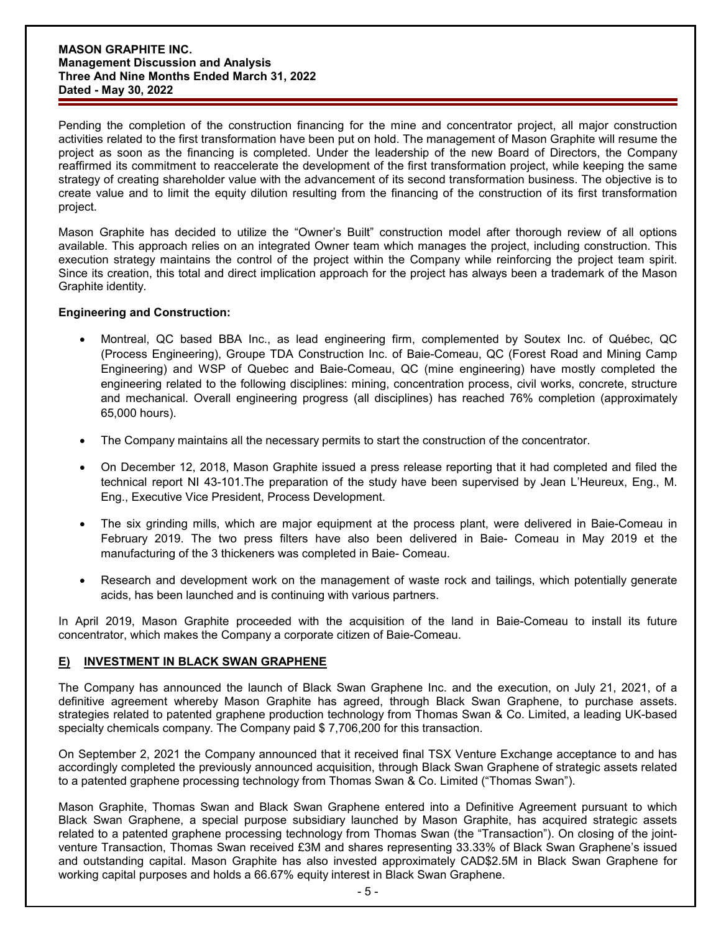Pending the completion of the construction financing for the mine and concentrator project, all major construction activities related to the first transformation have been put on hold. The management of Mason Graphite will resume the project as soon as the financing is completed. Under the leadership of the new Board of Directors, the Company reaffirmed its commitment to reaccelerate the development of the first transformation project, while keeping the same strategy of creating shareholder value with the advancement of its second transformation business. The objective is to create value and to limit the equity dilution resulting from the financing of the construction of its first transformation project.

Mason Graphite has decided to utilize the "Owner's Built" construction model after thorough review of all options available. This approach relies on an integrated Owner team which manages the project, including construction. This execution strategy maintains the control of the project within the Company while reinforcing the project team spirit. Since its creation, this total and direct implication approach for the project has always been a trademark of the Mason Graphite identity.

### **Engineering and Construction:**

- Montreal, QC based BBA Inc., as lead engineering firm, complemented by Soutex Inc. of Québec, QC (Process Engineering), Groupe TDA Construction Inc. of Baie-Comeau, QC (Forest Road and Mining Camp Engineering) and WSP of Quebec and Baie-Comeau, QC (mine engineering) have mostly completed the engineering related to the following disciplines: mining, concentration process, civil works, concrete, structure and mechanical. Overall engineering progress (all disciplines) has reached 76% completion (approximately 65,000 hours).
- The Company maintains all the necessary permits to start the construction of the concentrator.
- On December 12, 2018, Mason Graphite issued a press release reporting that it had completed and filed the technical report NI 43-101.The preparation of the study have been supervised by Jean L'Heureux, Eng., M. Eng., Executive Vice President, Process Development.
- The six grinding mills, which are major equipment at the process plant, were delivered in Baie-Comeau in February 2019. The two press filters have also been delivered in Baie- Comeau in May 2019 et the manufacturing of the 3 thickeners was completed in Baie- Comeau.
- Research and development work on the management of waste rock and tailings, which potentially generate acids, has been launched and is continuing with various partners.

In April 2019, Mason Graphite proceeded with the acquisition of the land in Baie-Comeau to install its future concentrator, which makes the Company a corporate citizen of Baie-Comeau.

# **E) INVESTMENT IN BLACK SWAN GRAPHENE**

The Company has announced the launch of Black Swan Graphene Inc. and the execution, on July 21, 2021, of a definitive agreement whereby Mason Graphite has agreed, through Black Swan Graphene, to purchase assets. strategies related to patented graphene production technology from Thomas Swan & Co. Limited, a leading UK-based specialty chemicals company. The Company paid \$ 7,706,200 for this transaction.

On September 2, 2021 the Company announced that it received final TSX Venture Exchange acceptance to and has accordingly completed the previously announced acquisition, through Black Swan Graphene of strategic assets related to a patented graphene processing technology from Thomas Swan & Co. Limited ("Thomas Swan").

Mason Graphite, Thomas Swan and Black Swan Graphene entered into a Definitive Agreement pursuant to which Black Swan Graphene, a special purpose subsidiary launched by Mason Graphite, has acquired strategic assets related to a patented graphene processing technology from Thomas Swan (the "Transaction"). On closing of the jointventure Transaction, Thomas Swan received £3M and shares representing 33.33% of Black Swan Graphene's issued and outstanding capital. Mason Graphite has also invested approximately CAD\$2.5M in Black Swan Graphene for working capital purposes and holds a 66.67% equity interest in Black Swan Graphene.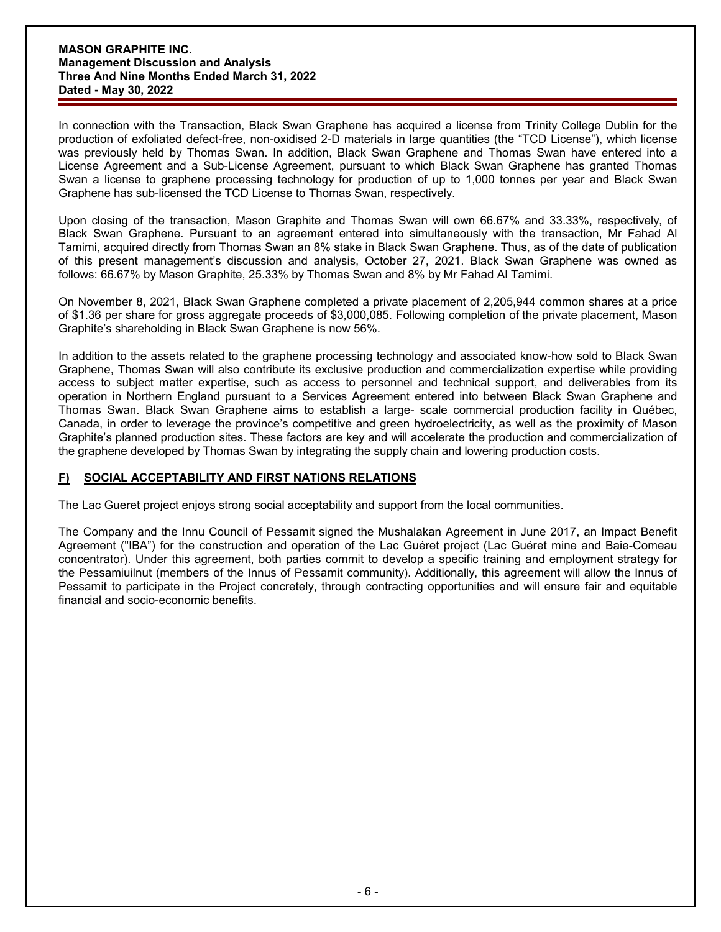In connection with the Transaction, Black Swan Graphene has acquired a license from Trinity College Dublin for the production of exfoliated defect-free, non-oxidised 2-D materials in large quantities (the "TCD License"), which license was previously held by Thomas Swan. In addition, Black Swan Graphene and Thomas Swan have entered into a License Agreement and a Sub-License Agreement, pursuant to which Black Swan Graphene has granted Thomas Swan a license to graphene processing technology for production of up to 1,000 tonnes per year and Black Swan Graphene has sub-licensed the TCD License to Thomas Swan, respectively.

Upon closing of the transaction, Mason Graphite and Thomas Swan will own 66.67% and 33.33%, respectively, of Black Swan Graphene. Pursuant to an agreement entered into simultaneously with the transaction, Mr Fahad Al Tamimi, acquired directly from Thomas Swan an 8% stake in Black Swan Graphene. Thus, as of the date of publication of this present management's discussion and analysis, October 27, 2021. Black Swan Graphene was owned as follows: 66.67% by Mason Graphite, 25.33% by Thomas Swan and 8% by Mr Fahad Al Tamimi.

On November 8, 2021, Black Swan Graphene completed a private placement of 2,205,944 common shares at a price of \$1.36 per share for gross aggregate proceeds of \$3,000,085. Following completion of the private placement, Mason Graphite's shareholding in Black Swan Graphene is now 56%.

In addition to the assets related to the graphene processing technology and associated know-how sold to Black Swan Graphene, Thomas Swan will also contribute its exclusive production and commercialization expertise while providing access to subject matter expertise, such as access to personnel and technical support, and deliverables from its operation in Northern England pursuant to a Services Agreement entered into between Black Swan Graphene and Thomas Swan. Black Swan Graphene aims to establish a large- scale commercial production facility in Québec, Canada, in order to leverage the province's competitive and green hydroelectricity, as well as the proximity of Mason Graphite's planned production sites. These factors are key and will accelerate the production and commercialization of the graphene developed by Thomas Swan by integrating the supply chain and lowering production costs.

# **F) SOCIAL ACCEPTABILITY AND FIRST NATIONS RELATIONS**

The Lac Gueret project enjoys strong social acceptability and support from the local communities.

The Company and the Innu Council of Pessamit signed the Mushalakan Agreement in June 2017, an Impact Benefit Agreement ("IBA") for the construction and operation of the Lac Guéret project (Lac Guéret mine and Baie-Comeau concentrator). Under this agreement, both parties commit to develop a specific training and employment strategy for the Pessamiuilnut (members of the Innus of Pessamit community). Additionally, this agreement will allow the Innus of Pessamit to participate in the Project concretely, through contracting opportunities and will ensure fair and equitable financial and socio-economic benefits.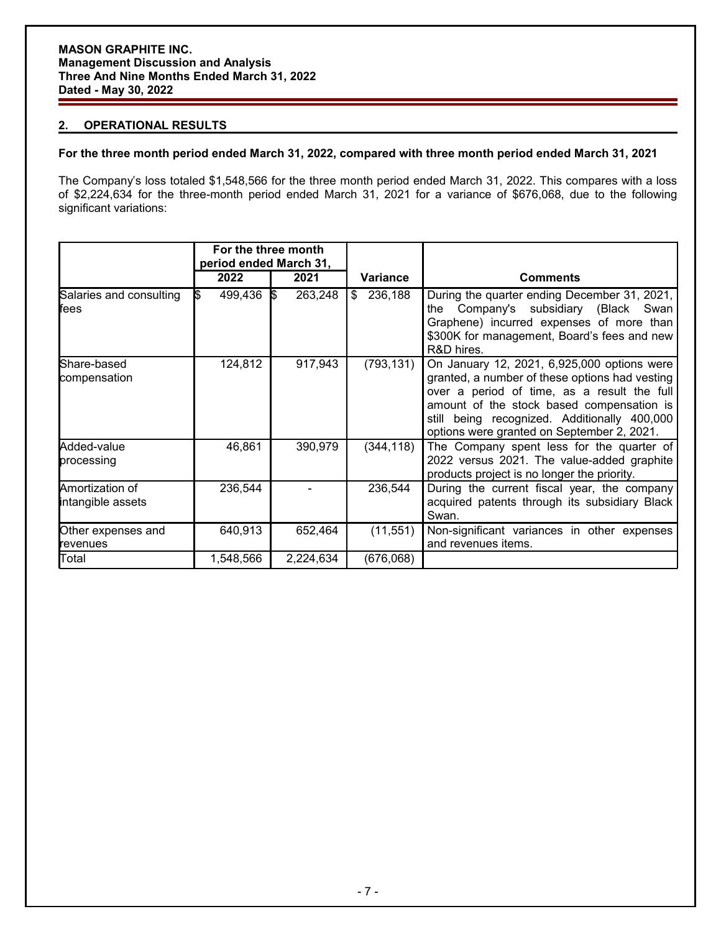## **2. OPERATIONAL RESULTS**

## **For the three month period ended March 31, 2022, compared with three month period ended March 31, 2021**

The Company's loss totaled \$1,548,566 for the three month period ended March 31, 2022. This compares with a loss of \$2,224,634 for the three-month period ended March 31, 2021 for a variance of \$676,068, due to the following significant variations:

|                                      | For the three month<br>period ended March 31, |                |                |                                                                                                                                                                                                                                                                                         |
|--------------------------------------|-----------------------------------------------|----------------|----------------|-----------------------------------------------------------------------------------------------------------------------------------------------------------------------------------------------------------------------------------------------------------------------------------------|
|                                      | 2022                                          | 2021           | Variance       | <b>Comments</b>                                                                                                                                                                                                                                                                         |
| Salaries and consulting<br>fees      | 499,436<br>I\$                                | 263,248<br>1\$ | 236,188<br>\$. | During the quarter ending December 31, 2021,<br>Company's subsidiary (Black<br>the<br>Swan<br>Graphene) incurred expenses of more than<br>\$300K for management, Board's fees and new<br>R&D hires.                                                                                     |
| Share-based<br>compensation          | 124,812                                       | 917,943        | (793, 131)     | On January 12, 2021, 6,925,000 options were<br>granted, a number of these options had vesting<br>over a period of time, as a result the full<br>amount of the stock based compensation is<br>still being recognized. Additionally 400,000<br>options were granted on September 2, 2021. |
| Added-value<br>processing            | 46,861                                        | 390,979        | (344, 118)     | The Company spent less for the quarter of<br>2022 versus 2021. The value-added graphite<br>products project is no longer the priority.                                                                                                                                                  |
| Amortization of<br>intangible assets | 236,544                                       |                | 236,544        | During the current fiscal year, the company<br>acquired patents through its subsidiary Black<br>Swan.                                                                                                                                                                                   |
| Other expenses and<br>revenues       | 640,913                                       | 652,464        | (11, 551)      | Non-significant variances in other expenses<br>and revenues items.                                                                                                                                                                                                                      |
| Total                                | 1,548,566                                     | 2,224,634      | (676,068)      |                                                                                                                                                                                                                                                                                         |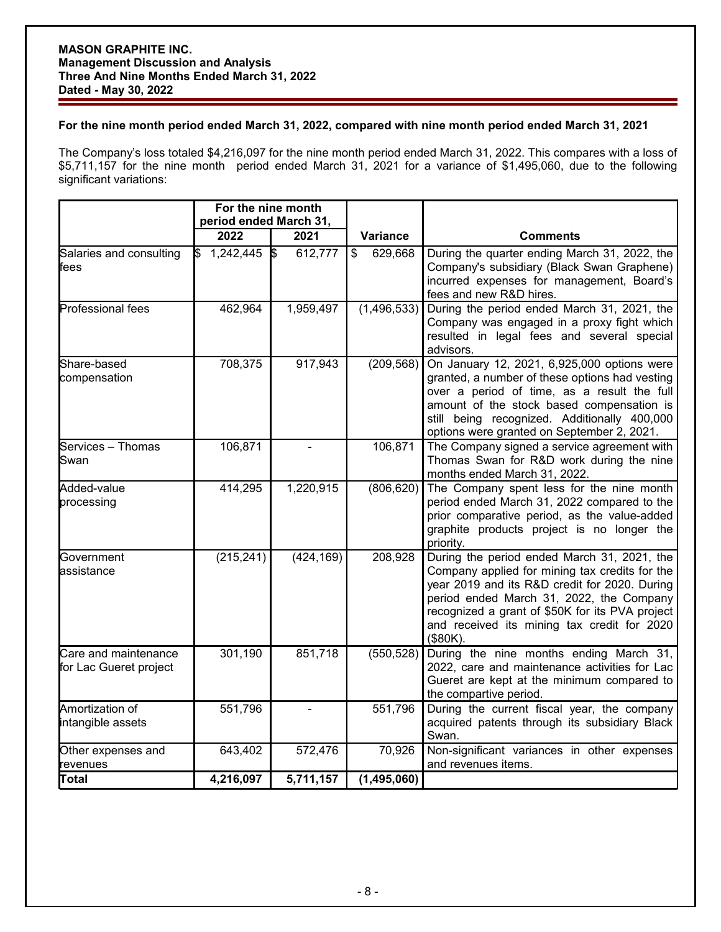## **For the nine month period ended March 31, 2022, compared with nine month period ended March 31, 2021**

The Company's loss totaled \$4,216,097 for the nine month period ended March 31, 2022. This compares with a loss of \$5,711,157 for the nine month period ended March 31, 2021 for a variance of \$1,495,060, due to the following significant variations:

|                                                | For the nine month<br>period ended March 31, |                |                 |                                                                                                                                                                                                                                                                                                            |  |
|------------------------------------------------|----------------------------------------------|----------------|-----------------|------------------------------------------------------------------------------------------------------------------------------------------------------------------------------------------------------------------------------------------------------------------------------------------------------------|--|
|                                                | 2022                                         | 2021           | <b>Variance</b> | <b>Comments</b>                                                                                                                                                                                                                                                                                            |  |
| Salaries and consulting<br>fees                | 1,242,445<br>ß.                              | 612,777<br>I\$ | 629,668<br>\$   | During the quarter ending March 31, 2022, the<br>Company's subsidiary (Black Swan Graphene)<br>incurred expenses for management, Board's<br>fees and new R&D hires.                                                                                                                                        |  |
| Professional fees                              | 462,964                                      | 1,959,497      | (1, 496, 533)   | During the period ended March 31, 2021, the<br>Company was engaged in a proxy fight which<br>resulted in legal fees and several special<br>advisors.                                                                                                                                                       |  |
| Share-based<br>compensation                    | 708,375                                      | 917,943        | (209, 568)      | On January 12, 2021, 6,925,000 options were<br>granted, a number of these options had vesting<br>over a period of time, as a result the full<br>amount of the stock based compensation is<br>still being recognized. Additionally 400,000<br>options were granted on September 2, 2021.                    |  |
| Services - Thomas<br>Swan                      | 106,871                                      |                | 106,871         | The Company signed a service agreement with<br>Thomas Swan for R&D work during the nine<br>months ended March 31, 2022.                                                                                                                                                                                    |  |
| Added-value<br>processing                      | 414,295                                      | 1,220,915      | (806, 620)      | The Company spent less for the nine month<br>period ended March 31, 2022 compared to the<br>prior comparative period, as the value-added<br>graphite products project is no longer the<br>priority.                                                                                                        |  |
| Government<br>lassistance                      | (215, 241)                                   | (424, 169)     | 208,928         | During the period ended March 31, 2021, the<br>Company applied for mining tax credits for the<br>year 2019 and its R&D credit for 2020. During<br>period ended March 31, 2022, the Company<br>recognized a grant of \$50K for its PVA project<br>and received its mining tax credit for 2020<br>$($80K)$ . |  |
| Care and maintenance<br>for Lac Gueret project | 301,190                                      | 851,718        | (550, 528)      | During the nine months ending March 31,<br>2022, care and maintenance activities for Lac<br>Gueret are kept at the minimum compared to<br>the compartive period.                                                                                                                                           |  |
| Amortization of<br>intangible assets           | 551,796                                      |                | 551,796         | During the current fiscal year, the company<br>acquired patents through its subsidiary Black<br>Swan.                                                                                                                                                                                                      |  |
| Other expenses and<br>revenues                 | 643,402                                      | 572,476        | 70,926          | Non-significant variances in other expenses<br>and revenues items.                                                                                                                                                                                                                                         |  |
| Total                                          | 4,216,097                                    | 5,711,157      | (1,495,060)     |                                                                                                                                                                                                                                                                                                            |  |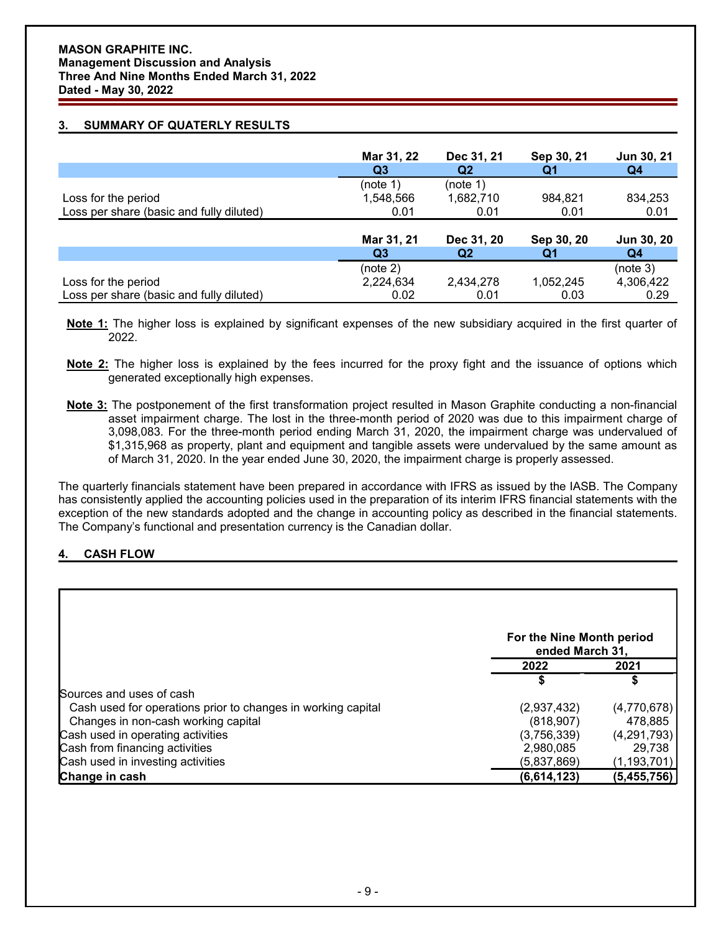# **3. SUMMARY OF QUATERLY RESULTS**

|                                          | Mar 31, 22     | Dec 31, 21     | Sep 30, 21 | Jun 30, 21 |
|------------------------------------------|----------------|----------------|------------|------------|
|                                          | Q3             | Q <sub>2</sub> | Q1         | Q4         |
|                                          | (note 1)       | (note 1)       |            |            |
| Loss for the period                      | 1,548,566      | 1,682,710      | 984,821    | 834,253    |
| Loss per share (basic and fully diluted) | 0.01           | 0.01           | 0.01       | 0.01       |
|                                          |                |                |            |            |
|                                          | Mar 31, 21     | Dec 31, 20     | Sep 30, 20 | Jun 30, 20 |
|                                          | Q <sub>3</sub> | Q <sub>2</sub> | Q1         | Q4         |
|                                          | (note 2)       |                |            | (note 3)   |
| Loss for the period                      | 2,224,634      | 2,434,278      | 1,052,245  | 4,306,422  |
| Loss per share (basic and fully diluted) | 0.02           | 0.01           | 0.03       | 0.29       |

**Note 1:** The higher loss is explained by significant expenses of the new subsidiary acquired in the first quarter of 2022.

- **Note 2:** The higher loss is explained by the fees incurred for the proxy fight and the issuance of options which generated exceptionally high expenses.
- **Note 3:** The postponement of the first transformation project resulted in Mason Graphite conducting a non-financial asset impairment charge. The lost in the three-month period of 2020 was due to this impairment charge of 3,098,083. For the three-month period ending March 31, 2020, the impairment charge was undervalued of \$1,315,968 as property, plant and equipment and tangible assets were undervalued by the same amount as of March 31, 2020. In the year ended June 30, 2020, the impairment charge is properly assessed.

The quarterly financials statement have been prepared in accordance with IFRS as issued by the IASB. The Company has consistently applied the accounting policies used in the preparation of its interim IFRS financial statements with the exception of the new standards adopted and the change in accounting policy as described in the financial statements. The Company's functional and presentation currency is the Canadian dollar.

# **4. CASH FLOW**

|                                                              |             | For the Nine Month period<br>ended March 31, |  |  |
|--------------------------------------------------------------|-------------|----------------------------------------------|--|--|
|                                                              | 2022        | 2021                                         |  |  |
|                                                              |             |                                              |  |  |
| Sources and uses of cash                                     |             |                                              |  |  |
| Cash used for operations prior to changes in working capital | (2,937,432) | (4,770,678)                                  |  |  |
| Changes in non-cash working capital                          | (818, 907)  | 478,885                                      |  |  |
| Cash used in operating activities                            | (3,756,339) | (4,291,793)                                  |  |  |
| Cash from financing activities                               | 2,980,085   | 29,738                                       |  |  |
| Cash used in investing activities                            | (5,837,869) | (1, 193, 701)                                |  |  |
| Change in cash                                               | (6,614,123) | (5, 455, 756)                                |  |  |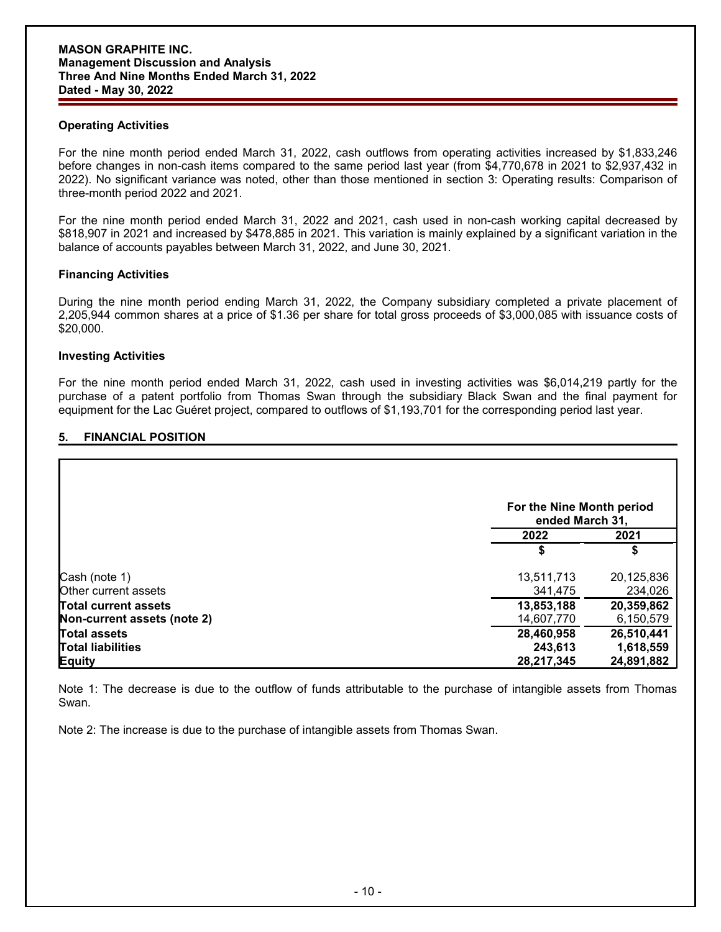## **Operating Activities**

For the nine month period ended March 31, 2022, cash outflows from operating activities increased by \$1,833,246 before changes in non-cash items compared to the same period last year (from \$4,770,678 in 2021 to \$2,937,432 in 2022). No significant variance was noted, other than those mentioned in section 3: Operating results: Comparison of three-month period 2022 and 2021.

For the nine month period ended March 31, 2022 and 2021, cash used in non-cash working capital decreased by \$818,907 in 2021 and increased by \$478,885 in 2021. This variation is mainly explained by a significant variation in the balance of accounts payables between March 31, 2022, and June 30, 2021.

## **Financing Activities**

During the nine month period ending March 31, 2022, the Company subsidiary completed a private placement of 2,205,944 common shares at a price of \$1.36 per share for total gross proceeds of \$3,000,085 with issuance costs of \$20,000.

## **Investing Activities**

For the nine month period ended March 31, 2022, cash used in investing activities was \$6,014,219 partly for the purchase of a patent portfolio from Thomas Swan through the subsidiary Black Swan and the final payment for equipment for the Lac Guéret project, compared to outflows of \$1,193,701 for the corresponding period last year.

# **5. FINANCIAL POSITION**

|                             |            | For the Nine Month period<br>ended March 31, |  |  |
|-----------------------------|------------|----------------------------------------------|--|--|
|                             | 2022       | 2021                                         |  |  |
|                             | S          | S                                            |  |  |
| Cash (note 1)               | 13,511,713 | 20,125,836                                   |  |  |
| <b>Other current assets</b> | 341,475    | 234,026                                      |  |  |
| <b>Total current assets</b> | 13,853,188 | 20,359,862                                   |  |  |
| Non-current assets (note 2) | 14,607,770 | 6,150,579                                    |  |  |
| Total assets                | 28,460,958 | 26,510,441                                   |  |  |
| <b>Total liabilities</b>    | 243,613    | 1,618,559                                    |  |  |
| <b>Equity</b>               | 28,217,345 | 24,891,882                                   |  |  |

Note 1: The decrease is due to the outflow of funds attributable to the purchase of intangible assets from Thomas Swan.

Note 2: The increase is due to the purchase of intangible assets from Thomas Swan.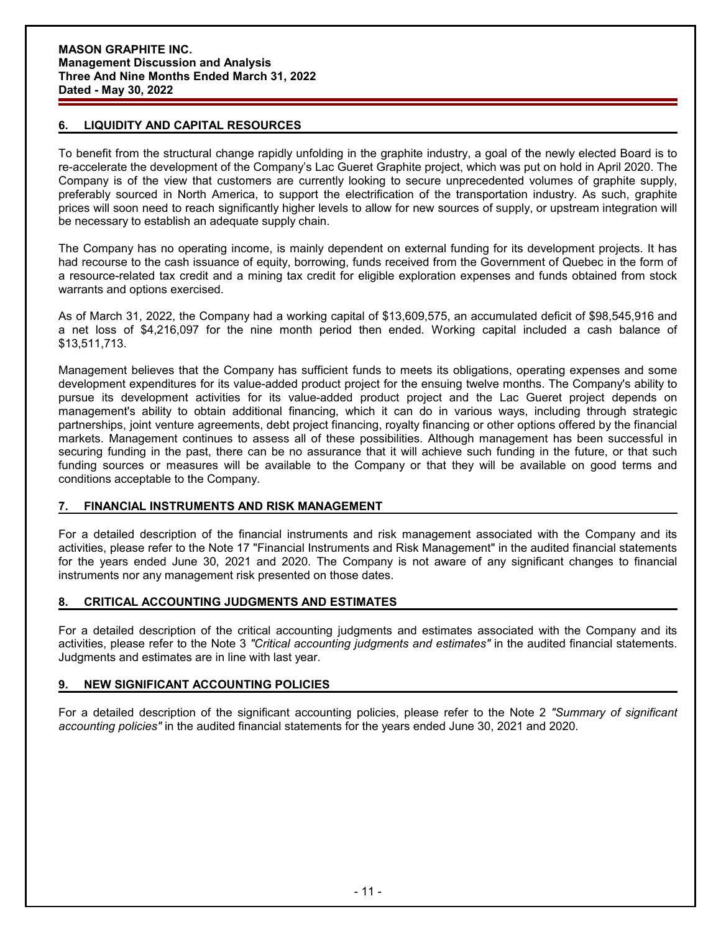# **6. LIQUIDITY AND CAPITAL RESOURCES**

To benefit from the structural change rapidly unfolding in the graphite industry, a goal of the newly elected Board is to re-accelerate the development of the Company's Lac Gueret Graphite project, which was put on hold in April 2020. The Company is of the view that customers are currently looking to secure unprecedented volumes of graphite supply, preferably sourced in North America, to support the electrification of the transportation industry. As such, graphite prices will soon need to reach significantly higher levels to allow for new sources of supply, or upstream integration will be necessary to establish an adequate supply chain.

The Company has no operating income, is mainly dependent on external funding for its development projects. It has had recourse to the cash issuance of equity, borrowing, funds received from the Government of Quebec in the form of a resource-related tax credit and a mining tax credit for eligible exploration expenses and funds obtained from stock warrants and options exercised.

As of March 31, 2022, the Company had a working capital of \$13,609,575, an accumulated deficit of \$98,545,916 and a net loss of \$4,216,097 for the nine month period then ended. Working capital included a cash balance of \$13,511,713.

Management believes that the Company has sufficient funds to meets its obligations, operating expenses and some development expenditures for its value-added product project for the ensuing twelve months. The Company's ability to pursue its development activities for its value-added product project and the Lac Gueret project depends on management's ability to obtain additional financing, which it can do in various ways, including through strategic partnerships, joint venture agreements, debt project financing, royalty financing or other options offered by the financial markets. Management continues to assess all of these possibilities. Although management has been successful in securing funding in the past, there can be no assurance that it will achieve such funding in the future, or that such funding sources or measures will be available to the Company or that they will be available on good terms and conditions acceptable to the Company.

### **7. FINANCIAL INSTRUMENTS AND RISK MANAGEMENT**

For a detailed description of the financial instruments and risk management associated with the Company and its activities, please refer to the Note 17 "Financial Instruments and Risk Management" in the audited financial statements for the years ended June 30, 2021 and 2020. The Company is not aware of any significant changes to financial instruments nor any management risk presented on those dates.

### **8. CRITICAL ACCOUNTING JUDGMENTS AND ESTIMATES**

For a detailed description of the critical accounting judgments and estimates associated with the Company and its activities, please refer to the Note 3 *"Critical accounting judgments and estimates"* in the audited financial statements. Judgments and estimates are in line with last year.

### **9. NEW SIGNIFICANT ACCOUNTING POLICIES**

For a detailed description of the significant accounting policies, please refer to the Note 2 *"Summary of significant accounting policies"* in the audited financial statements for the years ended June 30, 2021 and 2020.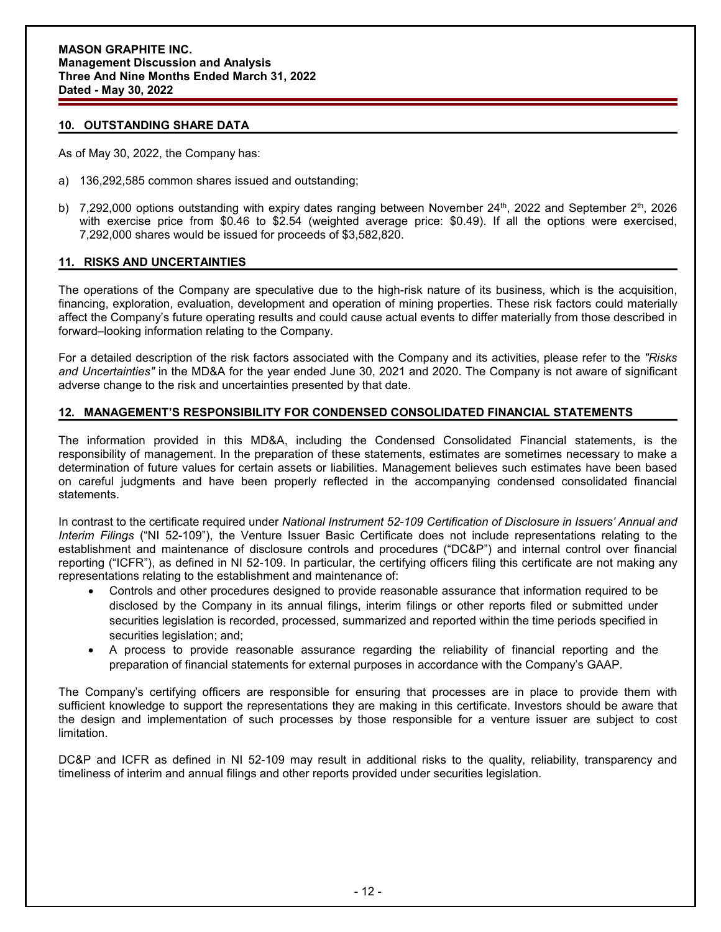## **10. OUTSTANDING SHARE DATA**

As of May 30, 2022, the Company has:

- a) 136,292,585 common shares issued and outstanding;
- b)  $\,$  7,292,000 options outstanding with expiry dates ranging between November 24th, 2022 and September 2th, 2026 with exercise price from \$0.46 to \$2.54 (weighted average price: \$0.49). If all the options were exercised, 7,292,000 shares would be issued for proceeds of \$3,582,820.

## **11. RISKS AND UNCERTAINTIES**

The operations of the Company are speculative due to the high-risk nature of its business, which is the acquisition, financing, exploration, evaluation, development and operation of mining properties. These risk factors could materially affect the Company's future operating results and could cause actual events to differ materially from those described in forward–looking information relating to the Company.

For a detailed description of the risk factors associated with the Company and its activities, please refer to the *"Risks and Uncertainties"* in the MD&A for the year ended June 30, 2021 and 2020. The Company is not aware of significant adverse change to the risk and uncertainties presented by that date.

## **12. MANAGEMENT'S RESPONSIBILITY FOR CONDENSED CONSOLIDATED FINANCIAL STATEMENTS**

The information provided in this MD&A, including the Condensed Consolidated Financial statements, is the responsibility of management. In the preparation of these statements, estimates are sometimes necessary to make a determination of future values for certain assets or liabilities. Management believes such estimates have been based on careful judgments and have been properly reflected in the accompanying condensed consolidated financial statements.

In contrast to the certificate required under *National Instrument 52-109 Certification of Disclosure in Issuers' Annual and Interim Filings* ("NI 52-109"), the Venture Issuer Basic Certificate does not include representations relating to the establishment and maintenance of disclosure controls and procedures ("DC&P") and internal control over financial reporting ("ICFR"), as defined in NI 52-109. In particular, the certifying officers filing this certificate are not making any representations relating to the establishment and maintenance of:

- Controls and other procedures designed to provide reasonable assurance that information required to be disclosed by the Company in its annual filings, interim filings or other reports filed or submitted under securities legislation is recorded, processed, summarized and reported within the time periods specified in securities legislation; and;
- A process to provide reasonable assurance regarding the reliability of financial reporting and the preparation of financial statements for external purposes in accordance with the Company's GAAP.

The Company's certifying officers are responsible for ensuring that processes are in place to provide them with sufficient knowledge to support the representations they are making in this certificate. Investors should be aware that the design and implementation of such processes by those responsible for a venture issuer are subject to cost limitation.

DC&P and ICFR as defined in NI 52-109 may result in additional risks to the quality, reliability, transparency and timeliness of interim and annual filings and other reports provided under securities legislation.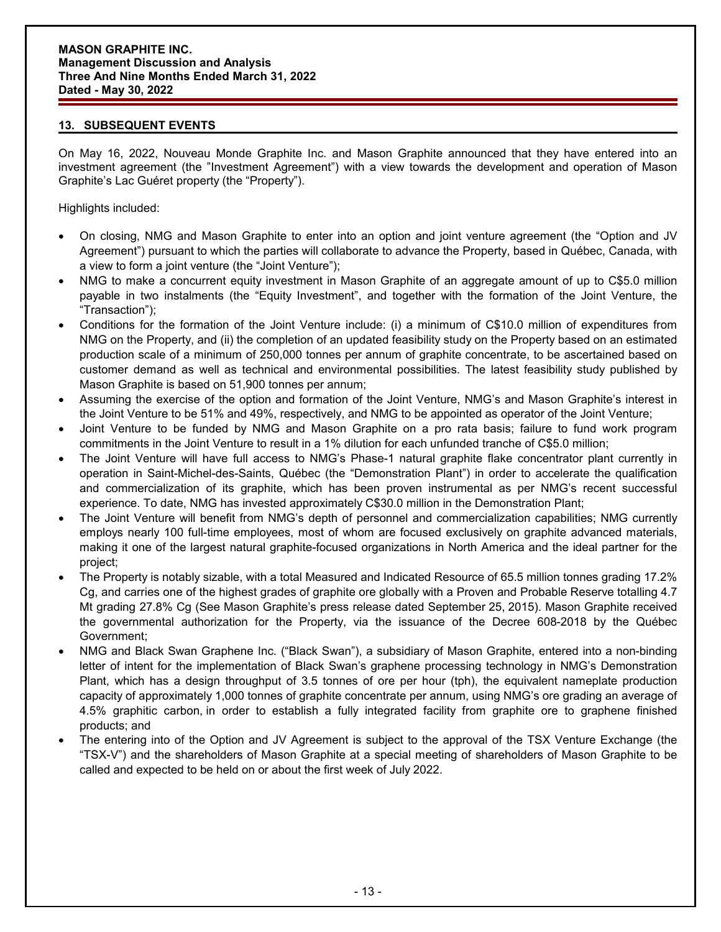## **13. SUBSEQUENT EVENTS**

On May 16, 2022, Nouveau Monde Graphite Inc. and Mason Graphite announced that they have entered into an investment agreement (the "Investment Agreement") with a view towards the development and operation of Mason Graphite's Lac Guéret property (the "Property").

Highlights included:

- On closing, NMG and Mason Graphite to enter into an option and joint venture agreement (the "Option and JV Agreement") pursuant to which the parties will collaborate to advance the Property, based in Québec, Canada, with a view to form a joint venture (the "Joint Venture");
- NMG to make a concurrent equity investment in Mason Graphite of an aggregate amount of up to C\$5.0 million payable in two instalments (the "Equity Investment", and together with the formation of the Joint Venture, the "Transaction");
- Conditions for the formation of the Joint Venture include: (i) a minimum of C\$10.0 million of expenditures from NMG on the Property, and (ii) the completion of an updated feasibility study on the Property based on an estimated production scale of a minimum of 250,000 tonnes per annum of graphite concentrate, to be ascertained based on customer demand as well as technical and environmental possibilities. The latest feasibility study published by Mason Graphite is based on 51,900 tonnes per annum;
- Assuming the exercise of the option and formation of the Joint Venture, NMG's and Mason Graphite's interest in the Joint Venture to be 51% and 49%, respectively, and NMG to be appointed as operator of the Joint Venture;
- Joint Venture to be funded by NMG and Mason Graphite on a pro rata basis; failure to fund work program commitments in the Joint Venture to result in a 1% dilution for each unfunded tranche of C\$5.0 million;
- The Joint Venture will have full access to NMG's Phase-1 natural graphite flake concentrator plant currently in operation in Saint-Michel-des-Saints, Québec (the "Demonstration Plant") in order to accelerate the qualification and commercialization of its graphite, which has been proven instrumental as per NMG's recent successful experience. To date, NMG has invested approximately C\$30.0 million in the Demonstration Plant;
- The Joint Venture will benefit from NMG's depth of personnel and commercialization capabilities; NMG currently employs nearly 100 full-time employees, most of whom are focused exclusively on graphite advanced materials, making it one of the largest natural graphite-focused organizations in North America and the ideal partner for the project;
- The Property is notably sizable, with a total Measured and Indicated Resource of 65.5 million tonnes grading 17.2% Cg, and carries one of the highest grades of graphite ore globally with a Proven and Probable Reserve totalling 4.7 Mt grading 27.8% Cg (See Mason Graphite's press release dated September 25, 2015). Mason Graphite received the governmental authorization for the Property, via the issuance of the Decree 608-2018 by the Québec Government;
- NMG and Black Swan Graphene Inc. ("Black Swan"), a subsidiary of Mason Graphite, entered into a non-binding letter of intent for the implementation of Black Swan's graphene processing technology in NMG's Demonstration Plant, which has a design throughput of 3.5 tonnes of ore per hour (tph), the equivalent nameplate production capacity of approximately 1,000 tonnes of graphite concentrate per annum, using NMG's ore grading an average of 4.5% graphitic carbon, in order to establish a fully integrated facility from graphite ore to graphene finished products; and
- The entering into of the Option and JV Agreement is subject to the approval of the TSX Venture Exchange (the "TSX-V") and the shareholders of Mason Graphite at a special meeting of shareholders of Mason Graphite to be called and expected to be held on or about the first week of July 2022.